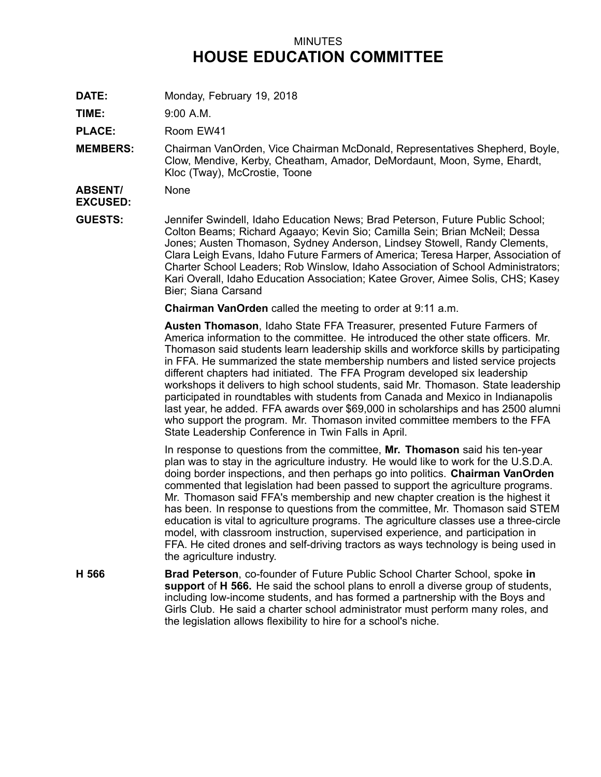## MINUTES **HOUSE EDUCATION COMMITTEE**

**DATE:** Monday, February 19, 2018

**TIME:** 9:00 A.M.

**PLACE:** Room EW41

**MEMBERS:** Chairman VanOrden, Vice Chairman McDonald, Representatives Shepherd, Boyle, Clow, Mendive, Kerby, Cheatham, Amador, DeMordaunt, Moon, Syme, Ehardt, Kloc (Tway), McCrostie, Toone

**ABSENT/ EXCUSED:** None

**GUESTS:** Jennifer Swindell, Idaho Education News; Brad Peterson, Future Public School; Colton Beams; Richard Agaayo; Kevin Sio; Camilla Sein; Brian McNeil; Dessa Jones; Austen Thomason, Sydney Anderson, Lindsey Stowell, Randy Clements, Clara Leigh Evans, Idaho Future Farmers of America; Teresa Harper, Association of Charter School Leaders; Rob Winslow, Idaho Association of School Administrators; Kari Overall, Idaho Education Association; Katee Grover, Aimee Solis, CHS; Kasey Bier; Siana Carsand

**Chairman VanOrden** called the meeting to order at 9:11 a.m.

**Austen Thomason**, Idaho State FFA Treasurer, presented Future Farmers of America information to the committee. He introduced the other state officers. Mr. Thomason said students learn leadership skills and workforce skills by participating in FFA. He summarized the state membership numbers and listed service projects different chapters had initiated. The FFA Program developed six leadership workshops it delivers to high school students, said Mr. Thomason. State leadership participated in roundtables with students from Canada and Mexico in Indianapolis last year, he added. FFA awards over \$69,000 in scholarships and has 2500 alumni who support the program. Mr. Thomason invited committee members to the FFA State Leadership Conference in Twin Falls in April.

In response to questions from the committee, **Mr. Thomason** said his ten-year plan was to stay in the agriculture industry. He would like to work for the U.S.D.A. doing border inspections, and then perhaps go into politics. **Chairman VanOrden** commented that legislation had been passed to support the agriculture programs. Mr. Thomason said FFA's membership and new chapter creation is the highest it has been. In response to questions from the committee, Mr. Thomason said STEM education is vital to agriculture programs. The agriculture classes use <sup>a</sup> three-circle model, with classroom instruction, supervised experience, and participation in FFA. He cited drones and self-driving tractors as ways technology is being used in the agriculture industry.

**H 566 Brad Peterson**, co-founder of Future Public School Charter School, spoke **in support** of **H 566.** He said the school plans to enroll <sup>a</sup> diverse group of students, including low-income students, and has formed <sup>a</sup> partnership with the Boys and Girls Club. He said <sup>a</sup> charter school administrator must perform many roles, and the legislation allows flexibility to hire for <sup>a</sup> school's niche.